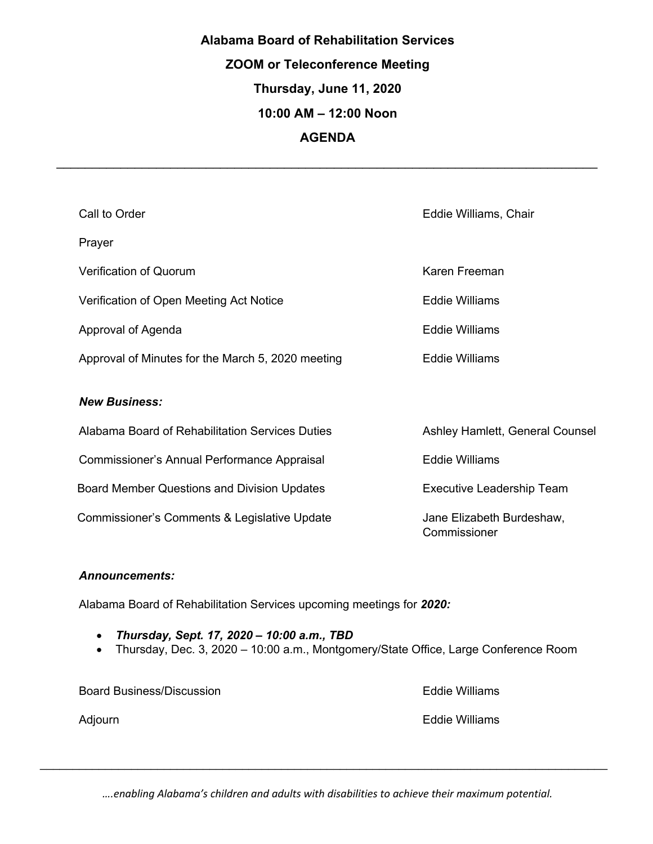# **Alabama Board of Rehabilitation Services ZOOM or Teleconference Meeting Thursday, June 11, 2020 10:00 AM – 12:00 Noon AGENDA**

*\_\_\_\_\_\_\_\_\_\_\_\_\_\_\_\_\_\_\_\_\_\_\_\_\_\_\_\_\_\_\_\_\_\_\_\_\_\_\_\_\_\_\_\_\_\_\_\_\_\_\_\_\_\_\_\_\_\_\_\_\_\_\_\_\_\_\_\_\_\_\_\_\_\_\_\_*

| Call to Order                                     | Eddie Williams, Chair                     |
|---------------------------------------------------|-------------------------------------------|
| Prayer                                            |                                           |
| Verification of Quorum                            | Karen Freeman                             |
| Verification of Open Meeting Act Notice           | <b>Eddie Williams</b>                     |
| Approval of Agenda                                | <b>Eddie Williams</b>                     |
| Approval of Minutes for the March 5, 2020 meeting | Eddie Williams                            |
| <b>New Business:</b>                              |                                           |
| Alabama Board of Rehabilitation Services Duties   | Ashley Hamlett, General Counsel           |
| Commissioner's Annual Performance Appraisal       | <b>Eddie Williams</b>                     |
| Board Member Questions and Division Updates       | <b>Executive Leadership Team</b>          |
| Commissioner's Comments & Legislative Update      | Jane Elizabeth Burdeshaw,<br>Commissioner |

#### *Announcements:*

Alabama Board of Rehabilitation Services upcoming meetings for *2020:*

- *Thursday, Sept. 17, 2020 – 10:00 a.m., TBD*
- Thursday, Dec. 3, 2020 10:00 a.m., Montgomery/State Office, Large Conference Room

Board Business/Discussion **Eddie Williams** 

Adjourn **Eddie Williams** 

*….enabling Alabama's children and adults with disabilities to achieve their maximum potential.*

*\_\_\_\_\_\_\_\_\_\_\_\_\_\_\_\_\_\_\_\_\_\_\_\_\_\_\_\_\_\_\_\_\_\_\_\_\_\_\_\_\_\_\_\_\_\_\_\_\_\_\_\_\_\_\_\_\_\_\_\_\_\_\_\_\_\_\_\_\_\_\_\_\_\_\_\_\_\_\_\_\_\_\_\_\_\_\_*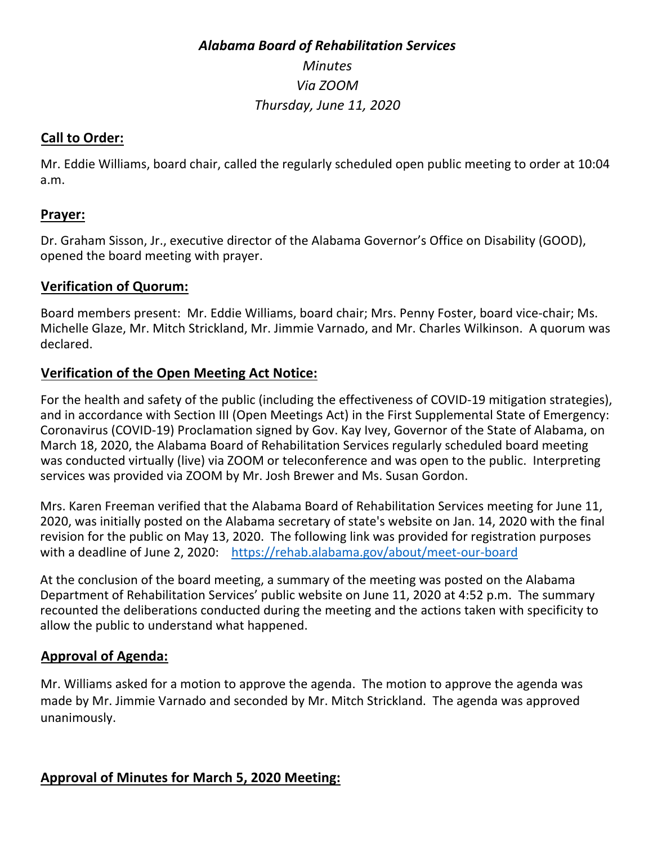# *Alabama Board of Rehabilitation Services Minutes Via ZOOM Thursday, June 11, 2020*

#### **Call to Order:**

Mr. Eddie Williams, board chair, called the regularly scheduled open public meeting to order at 10:04 a.m.

#### **Prayer:**

Dr. Graham Sisson, Jr., executive director of the Alabama Governor's Office on Disability (GOOD), opened the board meeting with prayer.

#### **Verification of Quorum:**

Board members present: Mr. Eddie Williams, board chair; Mrs. Penny Foster, board vice-chair; Ms. Michelle Glaze, Mr. Mitch Strickland, Mr. Jimmie Varnado, and Mr. Charles Wilkinson. A quorum was declared.

#### **Verification of the Open Meeting Act Notice:**

For the health and safety of the public (including the effectiveness of COVID-19 mitigation strategies), and in accordance with Section III (Open Meetings Act) in the First Supplemental State of Emergency: Coronavirus (COVID-19) Proclamation signed by Gov. Kay Ivey, Governor of the State of Alabama, on March 18, 2020, the Alabama Board of Rehabilitation Services regularly scheduled board meeting was conducted virtually (live) via ZOOM or teleconference and was open to the public. Interpreting services was provided via ZOOM by Mr. Josh Brewer and Ms. Susan Gordon.

Mrs. Karen Freeman verified that the Alabama Board of Rehabilitation Services meeting for June 11, 2020, was initially posted on the Alabama secretary of state's website on Jan. 14, 2020 with the final revision for the public on May 13, 2020. The following link was provided for registration purposes with a deadline of June 2, 2020: https://rehab.alabama.gov/about/meet-our-board

At the conclusion of the board meeting, a summary of the meeting was posted on the Alabama Department of Rehabilitation Services' public website on June 11, 2020 at 4:52 p.m. The summary recounted the deliberations conducted during the meeting and the actions taken with specificity to allow the public to understand what happened.

#### **Approval of Agenda:**

Mr. Williams asked for a motion to approve the agenda. The motion to approve the agenda was made by Mr. Jimmie Varnado and seconded by Mr. Mitch Strickland. The agenda was approved unanimously.

#### **Approval of Minutes for March 5, 2020 Meeting:**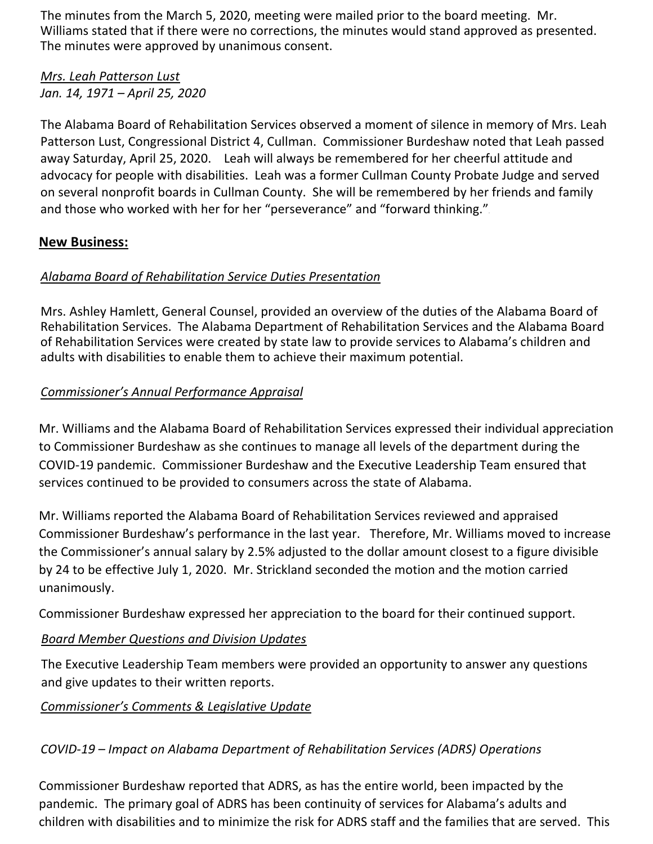The minutes from the March 5, 2020, meeting were mailed prior to the board meeting. Mr. Williams stated that if there were no corrections, the minutes would stand approved as presented. The minutes were approved by unanimous consent.

#### *Mrs. Leah Patterson Lust Jan. 14, 1971 – April 25, 2020*

The Alabama Board of Rehabilitation Services observed a moment of silence in memory of Mrs. Leah Patterson Lust, Congressional District 4, Cullman. Commissioner Burdeshaw noted that Leah passed away Saturday, April 25, 2020. Leah will always be remembered for her cheerful attitude and advocacy for people with disabilities. Leah was a former Cullman County Probate Judge and served on several nonprofit boards in Cullman County. She will be remembered by her friends and family and those who worked with her for her "perseverance" and "forward thinking."

# **New Business:**

# *Alabama Board of Rehabilitation Service Duties Presentation*

Mrs. Ashley Hamlett, General Counsel, provided an overview of the duties of the Alabama Board of Rehabilitation Services. The Alabama Department of Rehabilitation Services and the Alabama Board of Rehabilitation Services were created by state law to provide services to Alabama's children and adults with disabilities to enable them to achieve their maximum potential.

# *Commissioner's Annual Performance Appraisal*

Mr. Williams and the Alabama Board of Rehabilitation Services expressed their individual appreciation to Commissioner Burdeshaw as she continues to manage all levels of the department during the COVID-19 pandemic. Commissioner Burdeshaw and the Executive Leadership Team ensured that services continued to be provided to consumers across the state of Alabama.

Mr. Williams reported the Alabama Board of Rehabilitation Services reviewed and appraised Commissioner Burdeshaw's performance in the last year. Therefore, Mr. Williams moved to increase the Commissioner's annual salary by 2.5% adjusted to the dollar amount closest to a figure divisible by 24 to be effective July 1, 2020. Mr. Strickland seconded the motion and the motion carried unanimously.

Commissioner Burdeshaw expressed her appreciation to the board for their continued support.

# *Board Member Questions and Division Updates*

The Executive Leadership Team members were provided an opportunity to answer any questions and give updates to their written reports.

# *Commissioner's Comments & Legislative Update*

# *COVID-19 – Impact on Alabama Department of Rehabilitation Services (ADRS) Operations*

Commissioner Burdeshaw reported that ADRS, as has the entire world, been impacted by the pandemic. The primary goal of ADRS has been continuity of services for Alabama's adults and children with disabilities and to minimize the risk for ADRS staff and the families that are served. This